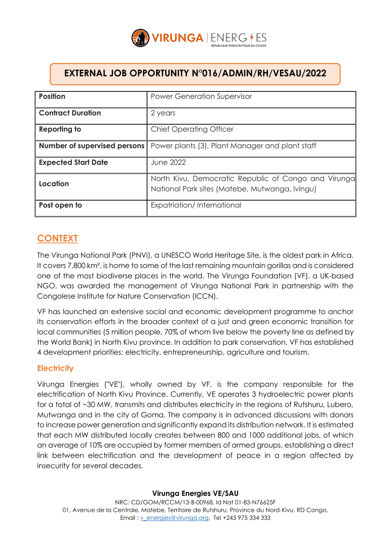

# **EXTERNAL JOB OPPORTUNITY N°016/ADMIN/RH/VESAU/2022**

| <b>Position</b>            | <b>Power Generation Supervisor</b>                                                                     |
|----------------------------|--------------------------------------------------------------------------------------------------------|
| <b>Contract Duration</b>   | 2 years                                                                                                |
| Reporting to               | <b>Chief Operating Officer</b>                                                                         |
|                            | <b>Number of supervised persons</b>   Power plants (3), Plant Manager and plant staff                  |
| <b>Expected Start Date</b> | <b>June 2022</b>                                                                                       |
| Location                   | North Kivu, Democratic Republic of Congo and Virunga<br>National Park sites (Matebe, Mutwanga, Ivingu) |
| Post open to               | Expatriation/International                                                                             |

# **CONTEXT**

The Virunga National Park (PNVi), a UNESCO World Heritage Site, is the oldest park in Africa. It covers 7,800 km², is home to some of the last remaining mountain gorillas and is considered one of the most biodiverse places in the world. The Virunga Foundation (VF), a UK-based NGO, was awarded the management of Virunga National Park in partnership with the Congolese Institute for Nature Conservation (ICCN).

VF has launched an extensive social and economic development programme to anchor its conservation efforts in the broader context of a just and green economic transition for local communities (5 million people, 70% of whom live below the poverty line as defined by the World Bank) in North Kivu province. In addition to park conservation, VF has established 4 development priorities: electricity, entrepreneurship, agriculture and tourism.

## **Electricity**

Virunga Energies ("VE"), wholly owned by VF, is the company responsible for the electrification of North Kivu Province. Currently, VE operates 3 hydroelectric power plants for a total of ~30 MW, transmits and distributes electricity in the regions of Rutshuru, Lubero, Mutwanga and in the city of Goma. The company is in advanced discussions with donors to increase power generation and significantly expand its distribution network. It is estimated that each MW distributed locally creates between 800 and 1000 additional jobs, of which an average of 10% are occupied by former members of armed groups, establishing a direct link between electrification and the development of peace in a region affected by insecurity for several decades.

### **Virunga Energies VE/SAU**

NRC: CD/GOM/RCCM/13-B-00968, Id Nat 01-83-N76625F 01, Avenue de la Centrale, Matebe, Territoire de Rutshuru, Province du Nord-Kivu, RD Congo, Email[: v\\_energies@virunga.org,](mailto:v_energies@virunga.org) Tel +243 975 334 333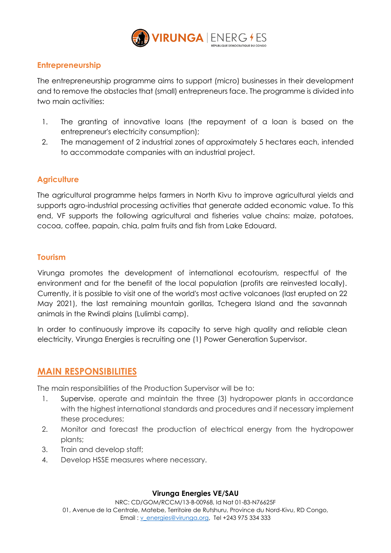

## **Entrepreneurship**

The entrepreneurship programme aims to support (micro) businesses in their development and to remove the obstacles that (small) entrepreneurs face. The programme is divided into two main activities:

- 1. The granting of innovative loans (the repayment of a loan is based on the entrepreneur's electricity consumption);
- 2. The management of 2 industrial zones of approximately 5 hectares each, intended to accommodate companies with an industrial project.

## **Agriculture**

The agricultural programme helps farmers in North Kivu to improve agricultural yields and supports agro-industrial processing activities that generate added economic value. To this end, VF supports the following agricultural and fisheries value chains: maize, potatoes, cocoa, coffee, papain, chia, palm fruits and fish from Lake Edouard.

### **Tourism**

Virunga promotes the development of international ecotourism, respectful of the environment and for the benefit of the local population (profits are reinvested locally). Currently, it is possible to visit one of the world's most active volcanoes (last erupted on 22 May 2021), the last remaining mountain gorillas, Tchegera Island and the savannah animals in the Rwindi plains (Lulimbi camp).

In order to continuously improve its capacity to serve high quality and reliable clean electricity, Virunga Energies is recruiting one (1) Power Generation Supervisor.

# **MAIN RESPONSIBILITIES**

The main responsibilities of the Production Supervisor will be to:

- 1. Supervise, operate and maintain the three (3) hydropower plants in accordance with the highest international standards and procedures and if necessary implement these procedures;
- 2. Monitor and forecast the production of electrical energy from the hydropower plants;
- 3. Train and develop staff;
- 4. Develop HSSE measures where necessary.

#### **Virunga Energies VE/SAU**

NRC: CD/GOM/RCCM/13-B-00968, Id Nat 01-83-N76625F 01, Avenue de la Centrale, Matebe, Territoire de Rutshuru, Province du Nord-Kivu, RD Congo, Email[: v\\_energies@virunga.org,](mailto:v_energies@virunga.org) Tel +243 975 334 333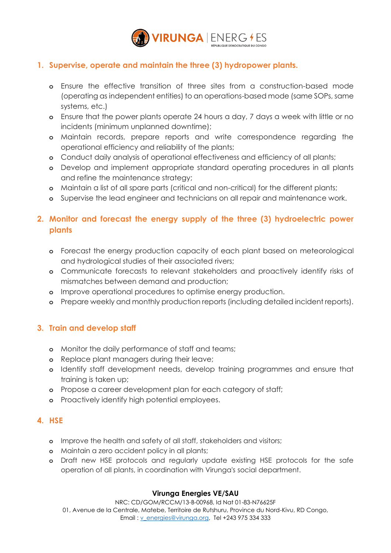

# **1. Supervise, operate and maintain the three (3) hydropower plants.**

- **o** Ensure the effective transition of three sites from a construction-based mode (operating as independent entities) to an operations-based mode (same SOPs, same systems, etc.)
- **o** Ensure that the power plants operate 24 hours a day, 7 days a week with little or no incidents (minimum unplanned downtime);
- **o** Maintain records, prepare reports and write correspondence regarding the operational efficiency and reliability of the plants;
- **o** Conduct daily analysis of operational effectiveness and efficiency of all plants;
- **o** Develop and implement appropriate standard operating procedures in all plants and refine the maintenance strategy;
- **o** Maintain a list of all spare parts (critical and non-critical) for the different plants;
- **o** Supervise the lead engineer and technicians on all repair and maintenance work.

# **2. Monitor and forecast the energy supply of the three (3) hydroelectric power plants**

- **o** Forecast the energy production capacity of each plant based on meteorological and hydrological studies of their associated rivers;
- **o** Communicate forecasts to relevant stakeholders and proactively identify risks of mismatches between demand and production;
- **o** Improve operational procedures to optimise energy production.
- **o** Prepare weekly and monthly production reports (including detailed incident reports).

## **3. Train and develop staff**

- **o** Monitor the daily performance of staff and teams;
- **o** Replace plant managers during their leave;
- **o** Identify staff development needs, develop training programmes and ensure that training is taken up;
- **o** Propose a career development plan for each category of staff;
- **o** Proactively identify high potential employees.

### **4. HSE**

- **o** Improve the health and safety of all staff, stakeholders and visitors;
- **o** Maintain a zero accident policy in all plants;
- **o** Draft new HSE protocols and regularly update existing HSE protocols for the safe operation of all plants, in coordination with Virunga's social department.

### **Virunga Energies VE/SAU**

NRC: CD/GOM/RCCM/13-B-00968, Id Nat 01-83-N76625F 01, Avenue de la Centrale, Matebe, Territoire de Rutshuru, Province du Nord-Kivu, RD Congo,

Email [: v\\_energies@virunga.org,](mailto:v_energies@virunga.org) Tel +243 975 334 333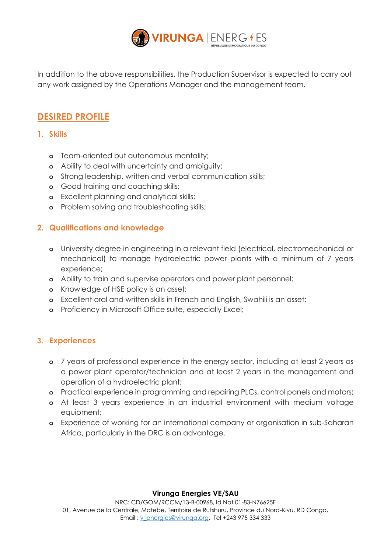

In addition to the above responsibilities, the Production Supervisor is expected to carry out any work assigned by the Operations Manager and the management team.

# **DESIRED PROFILE**

- **1. Skills**
	- **o** Team-oriented but autonomous mentality;
	- **o** Ability to deal with uncertainty and ambiguity;
	- **o** Strong leadership, written and verbal communication skills;
	- **o** Good training and coaching skills;
	- **o** Excellent planning and analytical skills;
	- **o** Problem solving and troubleshooting skills;

### **2. Qualifications and knowledge**

- **o** University degree in engineering in a relevant field (electrical, electromechanical or mechanical) to manage hydroelectric power plants with a minimum of 7 years experience;
- **o** Ability to train and supervise operators and power plant personnel;
- **o** Knowledge of HSE policy is an asset;
- **o** Excellent oral and written skills in French and English, Swahili is an asset;
- **o** Proficiency in Microsoft Office suite, especially Excel;

### **3. Experiences**

- **o** 7 years of professional experience in the energy sector, including at least 2 years as a power plant operator/technician and at least 2 years in the management and operation of a hydroelectric plant;
- **o** Practical experience in programming and repairing PLCs, control panels and motors;
- **o** At least 3 years experience in an industrial environment with medium voltage equipment;
- **o** Experience of working for an international company or organisation in sub-Saharan Africa, particularly in the DRC is an advantage.